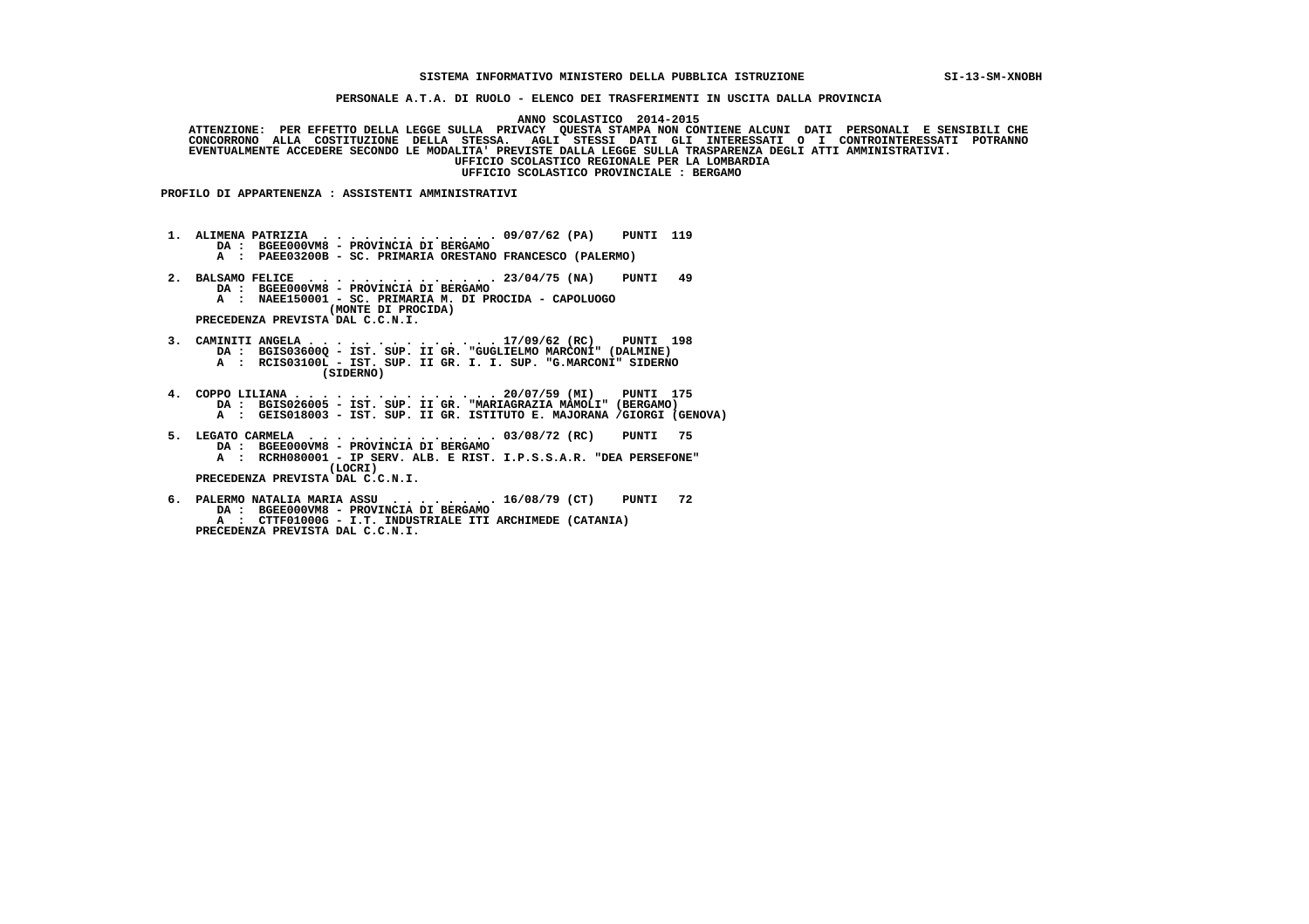## **SISTEMA INFORMATIVO MINISTERO DELLA PUBBLICA ISTRUZIONE SI-13-SM-XNOBH**

 **PERSONALE A.T.A. DI RUOLO - ELENCO DEI TRASFERIMENTI IN USCITA DALLA PROVINCIA**

 **ANNO SCOLASTICO 2014-2015**

  **ATTENZIONE: PER EFFETTO DELLA LEGGE SULLA PRIVACY QUESTA STAMPA NON CONTIENE ALCUNI DATI PERSONALI E SENSIBILI CHE CONCORRONO ALLA COSTITUZIONE DELLA STESSA. AGLI STESSI DATI GLI INTERESSATI O I CONTROINTERESSATI POTRANNO EVENTUALMENTE ACCEDERE SECONDO LE MODALITA' PREVISTE DALLA LEGGE SULLA TRASPARENZA DEGLI ATTI AMMINISTRATIVI. UFFICIO SCOLASTICO REGIONALE PER LA LOMBARDIA UFFICIO SCOLASTICO PROVINCIALE : BERGAMO**

 **PROFILO DI APPARTENENZA : ASSISTENTI AMMINISTRATIVI**

 **1. ALIMENA PATRIZIA . . . . . . . . . . . . . 09/07/62 (PA) PUNTI 119 DA : BGEE000VM8 - PROVINCIA DI BERGAMO A : PAEE03200B - SC. PRIMARIA ORESTANO FRANCESCO (PALERMO) 2. BALSAMO FELICE . . . . . . . . . . . . . . 23/04/75 (NA) PUNTI 49 DA : BGEE000VM8 - PROVINCIA DI BERGAMO A : NAEE150001 - SC. PRIMARIA M. DI PROCIDA - CAPOLUOGO (MONTE DI PROCIDA) PRECEDENZA PREVISTA DAL C.C.N.I. 3. CAMINITI ANGELA . . . . . . . . . . . . . . 17/09/62 (RC) PUNTI 198 DA : BGIS03600Q - IST. SUP. II GR. "GUGLIELMO MARCONI" (DALMINE) A : RCIS03100L - IST. SUP. II GR. I. I. SUP. "G.MARCONI" SIDERNO (SIDERNO) 4. COPPO LILIANA . . . . . . . . . . . . . . . 20/07/59 (MI) PUNTI 175 DA : BGIS026005 - IST. SUP. II GR. "MARIAGRAZIA MAMOLI" (BERGAMO) A : GEIS018003 - IST. SUP. II GR. ISTITUTO E. MAJORANA /GIORGI (GENOVA) 5. LEGATO CARMELA . . . . . . . . . . . . . . 03/08/72 (RC) PUNTI 75 DA : BGEE000VM8 - PROVINCIA DI BERGAMO A : RCRH080001 - IP SERV. ALB. E RIST. I.P.S.S.A.R. "DEA PERSEFONE" (LOCRI) PRECEDENZA PREVISTA DAL C.C.N.I. 6. PALERMO NATALIA MARIA ASSU . . . . . . . . 16/08/79 (CT) PUNTI 72 DA : BGEE000VM8 - PROVINCIA DI BERGAMO**

 **A : CTTF01000G - I.T. INDUSTRIALE ITI ARCHIMEDE (CATANIA)**

 **PRECEDENZA PREVISTA DAL C.C.N.I.**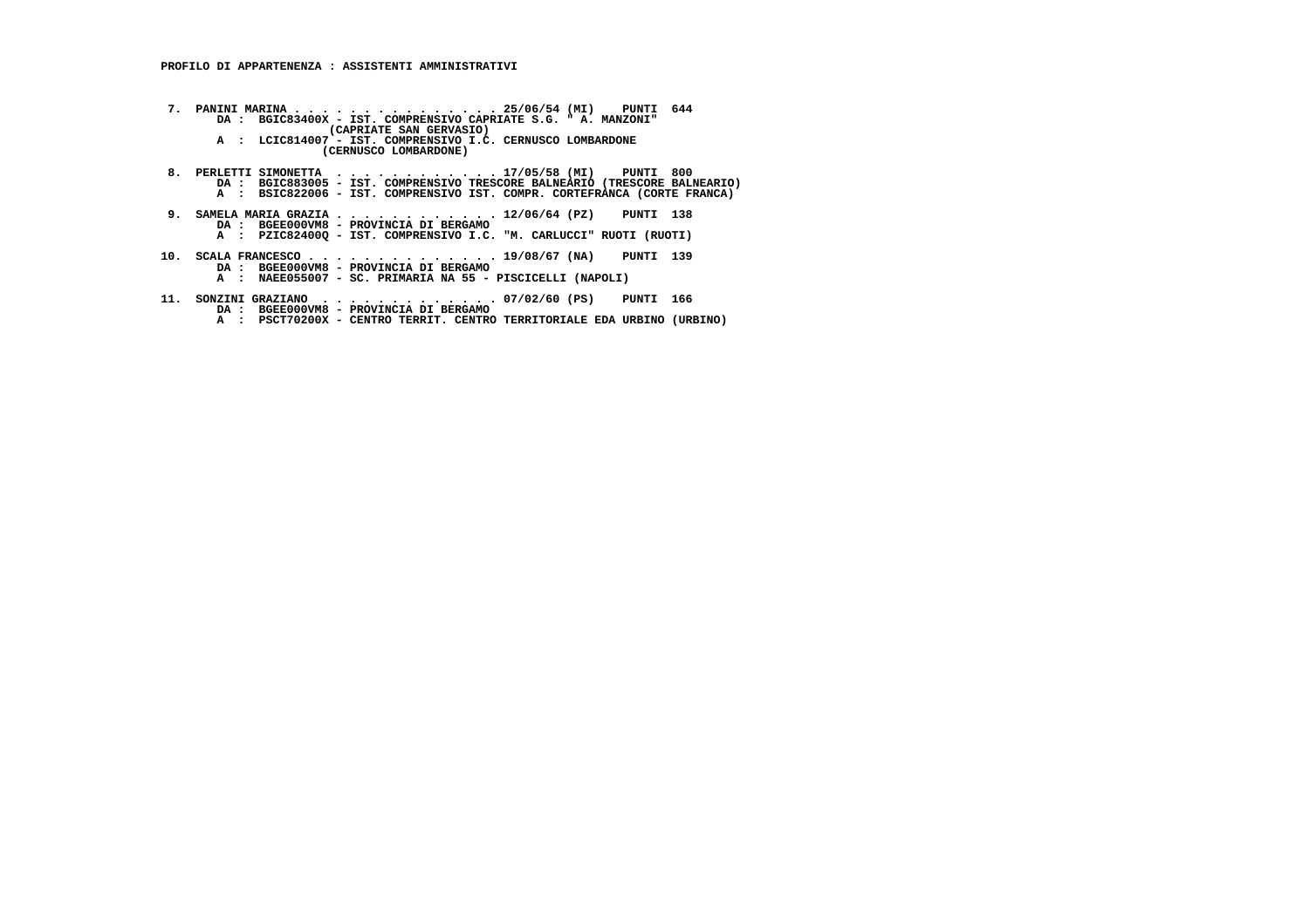**7. PANINI MARINA . . . . . . . . . . . . . . . 25/06/54 (MI) PUNTI 644 DA : BGIC83400X - IST. COMPRENSIVO CAPRIATE S.G. " A. MANZONI" (CAPRIATE SAN GERVASIO) A : LCIC814007 - IST. COMPRENSIVO I.C. CERNUSCO LOMBARDONE (CERNUSCO LOMBARDONE)**8. PERLETTI SIMONETTA .............17/05/58 (MI) PUNTI 800<br>DA : BGIC883005 - IST. COMPRENSIVO TRESCORE BALNEARIO (TRESCORE BALNEARIO)<br>A : BSIC822006 - IST. COMPRENSIVO IST. COMPR. CORTEFRANCA (CORTE FRANCA)  **9. SAMELA MARIA GRAZIA . . . . . . . . . . . . 12/06/64 (PZ) PUNTI 138 DA : BGEE000VM8 - PROVINCIA DI BERGAMO A : PZIC82400Q - IST. COMPRENSIVO I.C. "M. CARLUCCI" RUOTI (RUOTI) 10. SCALA FRANCESCO . . . . . . . . . . . . . . 19/08/67 (NA) PUNTI 139 DA : BGEE000VM8 - PROVINCIA DI BERGAMO A : NAEE055007 - SC. PRIMARIA NA 55 - PISCICELLI (NAPOLI) 11. SONZINI GRAZIANO . . . . . . . . . . . . . 07/02/60 (PS) PUNTI 166 DA : BGEE000VM8 - PROVINCIA DI BERGAMO A : PSCT70200X - CENTRO TERRIT. CENTRO TERRITORIALE EDA URBINO (URBINO)**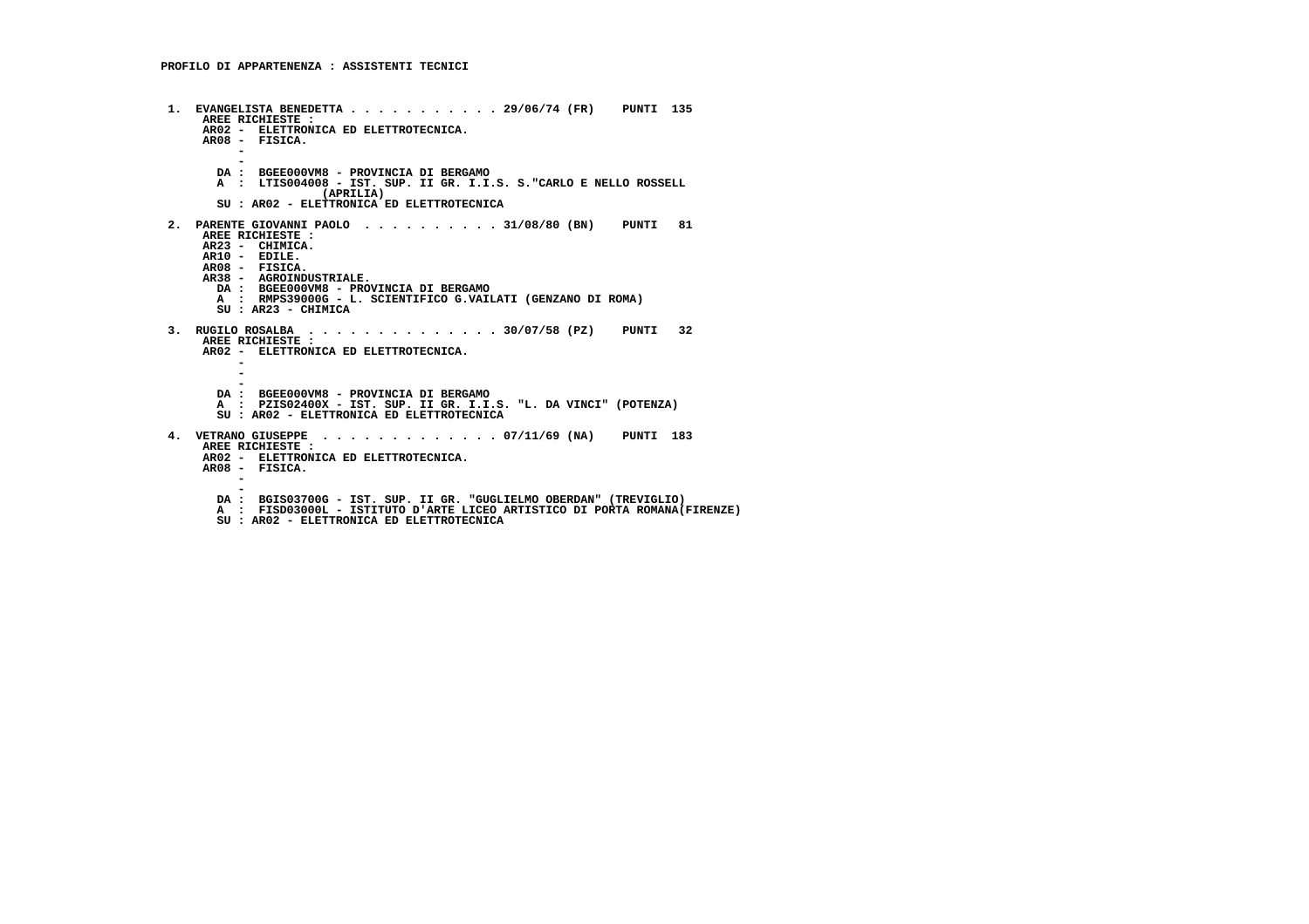**1. EVANGELISTA BENEDETTA . . . . . . . . . . . 29/06/74 (FR) PUNTI 135 AREE RICHIESTE : AR02 - ELETTRONICA ED ELETTROTECNICA. AR08 - FISICA. - - DA : BGEE000VM8 - PROVINCIA DI BERGAMO A : LTIS004008 - IST. SUP. II GR. I.I.S. S."CARLO E NELLO ROSSELL (APRILIA) SU : AR02 - ELETTRONICA ED ELETTROTECNICA 2. PARENTE GIOVANNI PAOLO . . . . . . . . . . 31/08/80 (BN) PUNTI 81 AREE RICHIESTE : AR23 - CHIMICA. AR10 - EDILE. AR08 - FISICA. AR38 - AGROINDUSTRIALE. DA : BGEE000VM8 - PROVINCIA DI BERGAMO A : RMPS39000G - L. SCIENTIFICO G.VAILATI (GENZANO DI ROMA) SU : AR23 - CHIMICA 3. RUGILO ROSALBA . . . . . . . . . . . . . . 30/07/58 (PZ) PUNTI 32 AREE RICHIESTE : AR02 - ELETTRONICA ED ELETTROTECNICA. - - - DA : BGEE000VM8 - PROVINCIA DI BERGAMO A : PZIS02400X - IST. SUP. II GR. I.I.S. "L. DA VINCI" (POTENZA) SU : AR02 - ELETTRONICA ED ELETTROTECNICA 4. VETRANO GIUSEPPE . . . . . . . . . . . . . 07/11/69 (NA) PUNTI 183 AREE RICHIESTE : AR02 - ELETTRONICA ED ELETTROTECNICA. AR08 - FISICA. - - DA : BGIS03700G - IST. SUP. II GR. "GUGLIELMO OBERDAN" (TREVIGLIO) A : FISD03000L - ISTITUTO D'ARTE LICEO ARTISTICO DI PORTA ROMANA(FIRENZE) SU : AR02 - ELETTRONICA ED ELETTROTECNICA**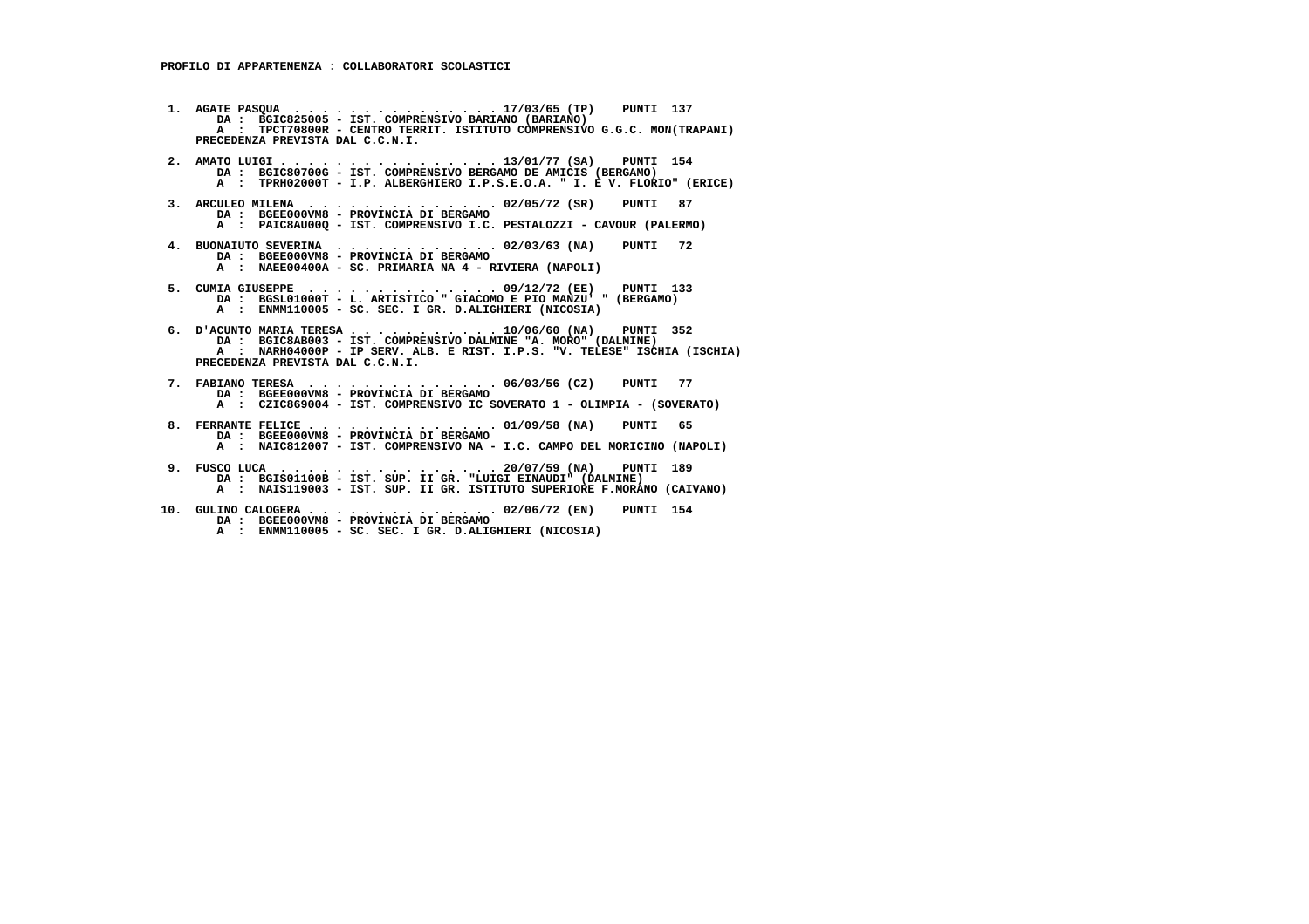- **1. AGATE PASQUA . . . . . . . . . . . . . . . 17/03/65 (TP) PUNTI 137 DA : BGIC825005 - IST. COMPRENSIVO BARIANO (BARIANO) A : TPCT70800R - CENTRO TERRIT. ISTITUTO COMPRENSIVO G.G.C. MON(TRAPANI) PRECEDENZA PREVISTA DAL C.C.N.I.**
- **2. AMATO LUIGI . . . . . . . . . . . . . . . . 13/01/77 (SA) PUNTI 154 DA : BGIC80700G IST. COMPRENSIVO BERGAMO DE AMICIS (BERGAMO) A : TPRH02000T - I.P. ALBERGHIERO I.P.S.E.O.A. " I. E V. FLORIO" (ERICE)**
- **3. ARCULEO MILENA . . . . . . . . . . . . . . 02/05/72 (SR) PUNTI 87 DA : BGEE000VM8 PROVINCIA DI BERGAMO A : PAIC8AU00Q - IST. COMPRENSIVO I.C. PESTALOZZI - CAVOUR (PALERMO)**
- **4. BUONAIUTO SEVERINA . . . . . . . . . . . . 02/03/63 (NA) PUNTI 72 DA : BGEE000VM8 PROVINCIA DI BERGAMO A : NAEE00400A - SC. PRIMARIA NA 4 - RIVIERA (NAPOLI)**
- **5. CUMIA GIUSEPPE . . . . . . . . . . . . . . 09/12/72 (EE) PUNTI 133 DA : BGSL01000T L. ARTISTICO " GIACOMO E PIO MANZU' " (BERGAMO) A : ENMM110005 SC. SEC. I GR. D.ALIGHIERI (NICOSIA)**
- **6. D'ACUNTO MARIA TERESA . . . . . . . . . . . 10/06/60 (NA) PUNTI 352 DA : BGIC8AB003 - IST. COMPRENSIVO DALMINE "A. MORO" (DALMINE) A : NARH04000P - IP SERV. ALB. E RIST. I.P.S. "V. TELESE" ISCHIA (ISCHIA) PRECEDENZA PREVISTA DAL C.C.N.I.**
- **7. FABIANO TERESA . . . . . . . . . . . . . . 06/03/56 (CZ) PUNTI 77 DA : BGEE000VM8 - PROVINCIA DI BERGAMO A : CZIC869004 - IST. COMPRENSIVO IC SOVERATO 1 - OLIMPIA - (SOVERATO)**
- **8. FERRANTE FELICE . . . . . . . . . . . . . . 01/09/58 (NA) PUNTI 65 DA : BGEE000VM8 PROVINCIA DI BERGAMO A : NAIC812007 - IST. COMPRENSIVO NA - I.C. CAMPO DEL MORICINO (NAPOLI)**
- **9. FUSCO LUCA . . . . . . . . . . . . . . . . 20/07/59 (NA) PUNTI 189 DA : BGIS01100B IST. SUP. II GR. "LUIGI EINAUDI" (DALMINE) A : NAIS119003 - IST. SUP. II GR. ISTITUTO SUPERIORE F.MORANO (CAIVANO)**
- **10. GULINO CALOGERA . . . . . . . . . . . . . . 02/06/72 (EN) PUNTI 154 DA : BGEE000VM8 - PROVINCIA DI BERGAMO A : ENMM110005 - SC. SEC. I GR. D.ALIGHIERI (NICOSIA)**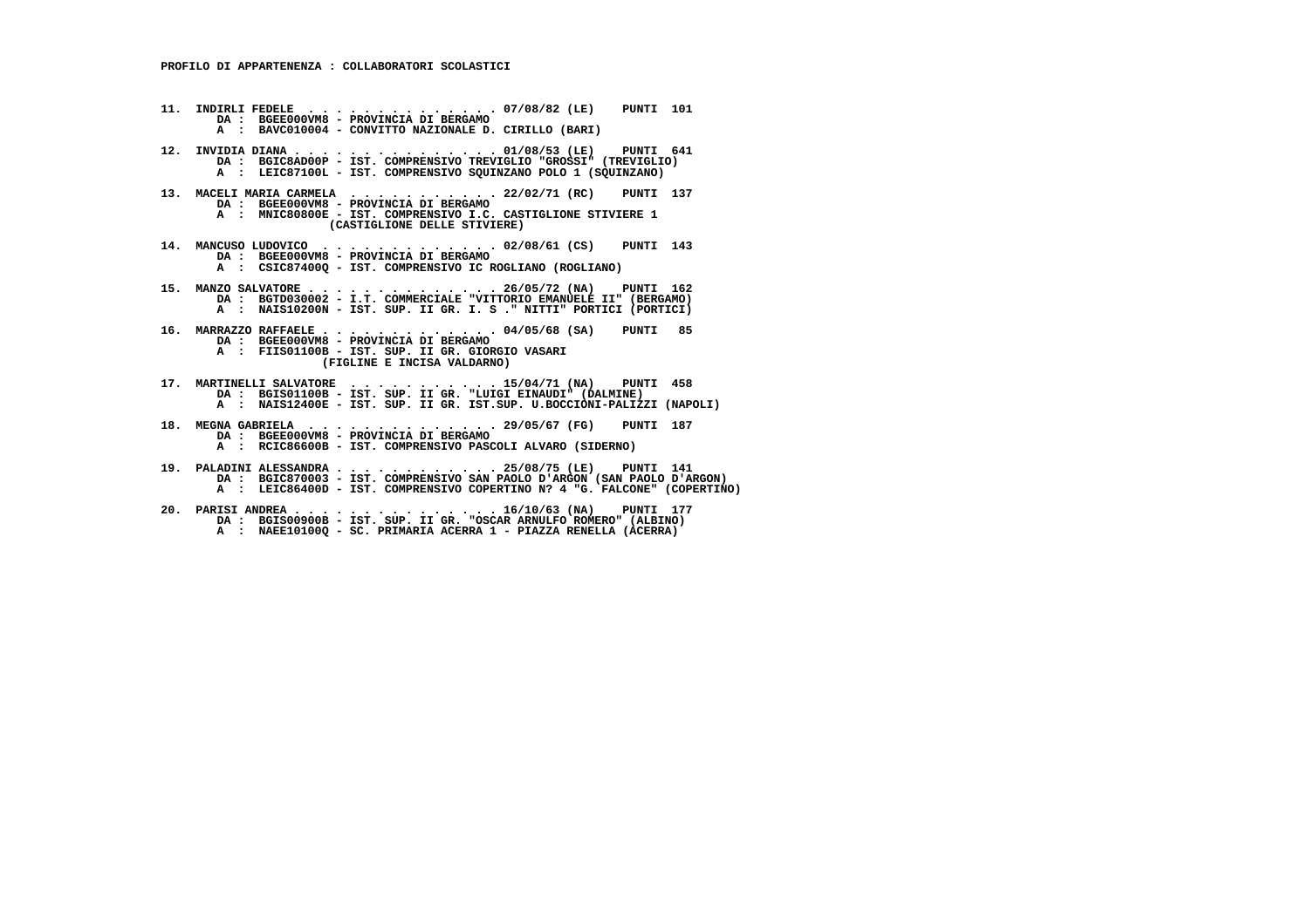- **11. INDIRLI FEDELE . . . . . . . . . . . . . . 07/08/82 (LE) PUNTI 101 DA : BGEE000VM8 - PROVINCIA DI BERGAMO A : BAVC010004 - CONVITTO NAZIONALE D. CIRILLO (BARI)**
- **12. INVIDIA DIANA . . . . . . . . . . . . . . . 01/08/53 (LE) PUNTI 641 DA : BGIC8AD00P IST. COMPRENSIVO TREVIGLIO "GROSSI" (TREVIGLIO) A : LEIC87100L - IST. COMPRENSIVO SQUINZANO POLO 1 (SQUINZANO)**
- **13. MACELI MARIA CARMELA . . . . . . . . . . . 22/02/71 (RC) PUNTI 137 DA : BGEE000VM8 - PROVINCIA DI BERGAMO A : MNIC80800E - IST. COMPRENSIVO I.C. CASTIGLIONE STIVIERE 1 (CASTIGLIONE DELLE STIVIERE)**
- **14. MANCUSO LUDOVICO . . . . . . . . . . . . . 02/08/61 (CS) PUNTI 143 DA : BGEE000VM8 PROVINCIA DI BERGAMO A : CSIC87400Q - IST. COMPRENSIVO IC ROGLIANO (ROGLIANO)**
- **15. MANZO SALVATORE . . . . . . . . . . . . . . 26/05/72 (NA) PUNTI 162 DA : BGTD030002 I.T. COMMERCIALE "VITTORIO EMANUELE II" (BERGAMO) A : NAIS10200N - IST. SUP. II GR. I. S ." NITTI" PORTICI (PORTICI)**
- **16. MARRAZZO RAFFAELE . . . . . . . . . . . . . 04/05/68 (SA) PUNTI 85 DA : BGEE000VM8 - PROVINCIA DI BERGAMO A : FIIS01100B - IST. SUP. II GR. GIORGIO VASARI**
	- **(FIGLINE E INCISA VALDARNO)**
- **17. MARTINELLI SALVATORE . . . . . . . . . . . 15/04/71 (NA) PUNTI 458 DA : BGIS01100B IST. SUP. II GR. "LUIGI EINAUDI" (DALMINE) A : NAIS12400E - IST. SUP. II GR. IST.SUP. U.BOCCIONI-PALIZZI (NAPOLI)**
- **18. MEGNA GABRIELA . . . . . . . . . . . . . . 29/05/67 (FG) PUNTI 187 DA : BGEE000VM8 PROVINCIA DI BERGAMO A : RCIC86600B - IST. COMPRENSIVO PASCOLI ALVARO (SIDERNO)**
- **19. PALADINI ALESSANDRA . . . . . . . . . . . . 25/08/75 (LE) PUNTI 141 DA : BGIC870003 IST. COMPRENSIVO SAN PAOLO D'ARGON (SAN PAOLO D'ARGON) A : LEIC86400D - IST. COMPRENSIVO COPERTINO N? 4 "G. FALCONE" (COPERTINO)**
- **20. PARISI ANDREA . . . . . . . . . . . . . . . 16/10/63 (NA) PUNTI 177 DA : BGIS00900B IST. SUP. II GR. "OSCAR ARNULFO ROMERO" (ALBINO) A : NAEE10100Q - SC. PRIMARIA ACERRA 1 - PIAZZA RENELLA (ACERRA)**